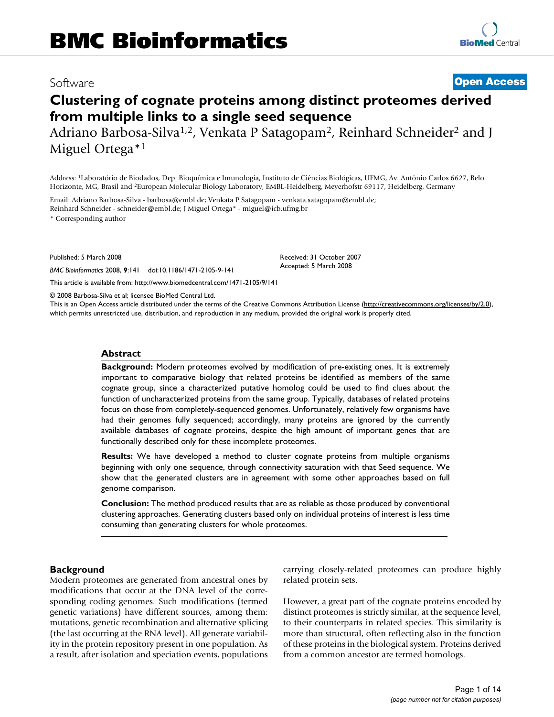# Software **[Open Access](http://www.biomedcentral.com/info/about/charter/)**

# **Clustering of cognate proteins among distinct proteomes derived from multiple links to a single seed sequence**

Adriano Barbosa-Silva1,2, Venkata P Satagopam2, Reinhard Schneider2 and J Miguel Ortega\*1

Address: 1Laboratório de Biodados, Dep. Bioquímica e Imunologia, Instituto de Ciências Biológicas, UFMG, Av. Antônio Carlos 6627, Belo Horizonte, MG, Brasil and 2European Molecular Biology Laboratory, EMBL-Heidelberg, Meyerhofstr 69117, Heidelberg, Germany

Email: Adriano Barbosa-Silva - barbosa@embl.de; Venkata P Satagopam - venkata.satagopam@embl.de; Reinhard Schneider - schneider@embl.de; J Miguel Ortega\* - miguel@icb.ufmg.br

\* Corresponding author

Published: 5 March 2008

*BMC Bioinformatics* 2008, **9**:141 doi:10.1186/1471-2105-9-141

[This article is available from: http://www.biomedcentral.com/1471-2105/9/141](http://www.biomedcentral.com/1471-2105/9/141)

© 2008 Barbosa-Silva et al; licensee BioMed Central Ltd.

This is an Open Access article distributed under the terms of the Creative Commons Attribution License [\(http://creativecommons.org/licenses/by/2.0\)](http://creativecommons.org/licenses/by/2.0), which permits unrestricted use, distribution, and reproduction in any medium, provided the original work is properly cited.

Received: 31 October 2007 Accepted: 5 March 2008

#### **Abstract**

**Background:** Modern proteomes evolved by modification of pre-existing ones. It is extremely important to comparative biology that related proteins be identified as members of the same cognate group, since a characterized putative homolog could be used to find clues about the function of uncharacterized proteins from the same group. Typically, databases of related proteins focus on those from completely-sequenced genomes. Unfortunately, relatively few organisms have had their genomes fully sequenced; accordingly, many proteins are ignored by the currently available databases of cognate proteins, despite the high amount of important genes that are functionally described only for these incomplete proteomes.

**Results:** We have developed a method to cluster cognate proteins from multiple organisms beginning with only one sequence, through connectivity saturation with that Seed sequence. We show that the generated clusters are in agreement with some other approaches based on full genome comparison.

**Conclusion:** The method produced results that are as reliable as those produced by conventional clustering approaches. Generating clusters based only on individual proteins of interest is less time consuming than generating clusters for whole proteomes.

#### **Background**

Modern proteomes are generated from ancestral ones by modifications that occur at the DNA level of the corresponding coding genomes. Such modifications (termed genetic variations) have different sources, among them: mutations, genetic recombination and alternative splicing (the last occurring at the RNA level). All generate variability in the protein repository present in one population. As a result, after isolation and speciation events, populations carrying closely-related proteomes can produce highly related protein sets.

However, a great part of the cognate proteins encoded by distinct proteomes is strictly similar, at the sequence level, to their counterparts in related species. This similarity is more than structural, often reflecting also in the function of these proteins in the biological system. Proteins derived from a common ancestor are termed homologs.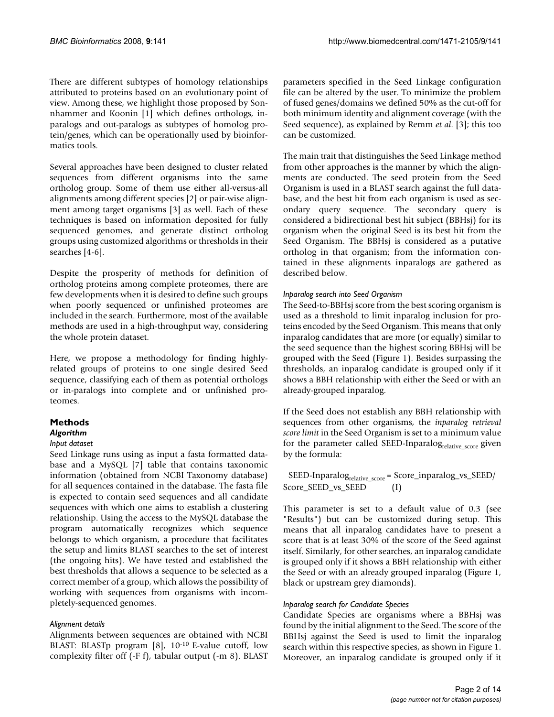There are different subtypes of homology relationships attributed to proteins based on an evolutionary point of view. Among these, we highlight those proposed by Sonnhammer and Koonin [1] which defines orthologs, inparalogs and out-paralogs as subtypes of homolog protein/genes, which can be operationally used by bioinformatics tools.

Several approaches have been designed to cluster related sequences from different organisms into the same ortholog group. Some of them use either all-versus-all alignments among different species [2] or pair-wise alignment among target organisms [3] as well. Each of these techniques is based on information deposited for fully sequenced genomes, and generate distinct ortholog groups using customized algorithms or thresholds in their searches [4-6].

Despite the prosperity of methods for definition of ortholog proteins among complete proteomes, there are few developments when it is desired to define such groups when poorly sequenced or unfinished proteomes are included in the search. Furthermore, most of the available methods are used in a high-throughput way, considering the whole protein dataset.

Here, we propose a methodology for finding highlyrelated groups of proteins to one single desired Seed sequence, classifying each of them as potential orthologs or in-paralogs into complete and or unfinished proteomes.

# **Methods**

# *Algorithm*

#### *Input dataset*

Seed Linkage runs using as input a fasta formatted database and a MySQL [7] table that contains taxonomic information (obtained from NCBI Taxonomy database) for all sequences contained in the database. The fasta file is expected to contain seed sequences and all candidate sequences with which one aims to establish a clustering relationship. Using the access to the MySQL database the program automatically recognizes which sequence belongs to which organism, a procedure that facilitates the setup and limits BLAST searches to the set of interest (the ongoing hits). We have tested and established the best thresholds that allows a sequence to be selected as a correct member of a group, which allows the possibility of working with sequences from organisms with incompletely-sequenced genomes.

# *Alignment details*

Alignments between sequences are obtained with NCBI BLAST: BLASTp program [8], 10<sup>-10</sup> E-value cutoff, low complexity filter off (-F f), tabular output (-m 8). BLAST parameters specified in the Seed Linkage configuration file can be altered by the user. To minimize the problem of fused genes/domains we defined 50% as the cut-off for both minimum identity and alignment coverage (with the Seed sequence), as explained by Remm *et al*. [3]; this too can be customized.

The main trait that distinguishes the Seed Linkage method from other approaches is the manner by which the alignments are conducted. The seed protein from the Seed Organism is used in a BLAST search against the full database, and the best hit from each organism is used as secondary query sequence. The secondary query is considered a bidirectional best hit subject (BBHsj) for its organism when the original Seed is its best hit from the Seed Organism. The BBHsj is considered as a putative ortholog in that organism; from the information contained in these alignments inparalogs are gathered as described below.

#### *Inparalog search into Seed Organism*

The Seed-to-BBHsj score from the best scoring organism is used as a threshold to limit inparalog inclusion for proteins encoded by the Seed Organism. This means that only inparalog candidates that are more (or equally) similar to the seed sequence than the highest scoring BBHsj will be grouped with the Seed (Figure 1). Besides surpassing the thresholds, an inparalog candidate is grouped only if it shows a BBH relationship with either the Seed or with an already-grouped inparalog.

If the Seed does not establish any BBH relationship with sequences from other organisms, the *inparalog retrieval score limit* in the Seed Organism is set to a minimum value for the parameter called SEED-Inparalogrelative\_score given by the formula:

SEED-Inparalog<sub>relative\_score</sub> = Score\_inparalog\_vs\_SEED/ Score SEED vs SEED (I)

This parameter is set to a default value of 0.3 (see "Results") but can be customized during setup. This means that all inparalog candidates have to present a score that is at least 30% of the score of the Seed against itself. Similarly, for other searches, an inparalog candidate is grouped only if it shows a BBH relationship with either the Seed or with an already grouped inparalog (Figure 1, black or upstream grey diamonds).

# *Inparalog search for Candidate Species*

Candidate Species are organisms where a BBHsj was found by the initial alignment to the Seed. The score of the BBHsj against the Seed is used to limit the inparalog search within this respective species, as shown in Figure 1. Moreover, an inparalog candidate is grouped only if it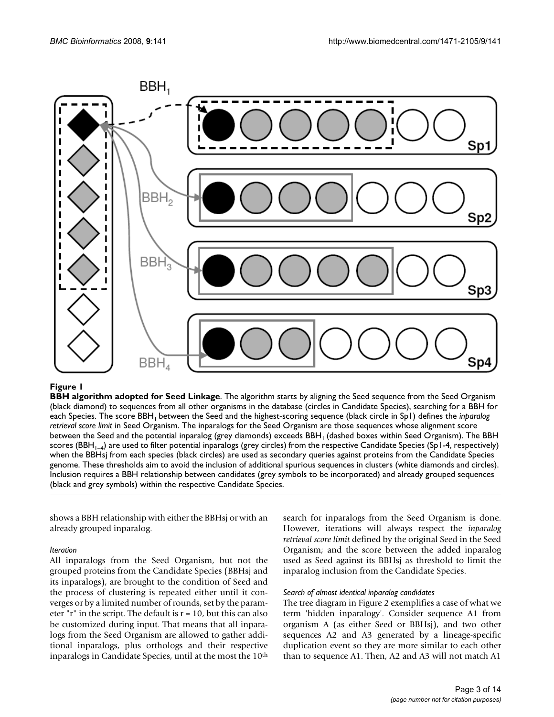

**BBH algorithm adopted for Seed Linkage**. The algorithm starts by aligning the Seed sequence from the Seed Organism (black diamond) to sequences from all other organisms in the database (circles in Candidate Species), searching for a BBH for each Species. The score BBH1 between the Seed and the highest-scoring sequence (black circle in Sp1) defines the *inparalog retrieval score limit* in Seed Organism. The inparalogs for the Seed Organism are those sequences whose alignment score between the Seed and the potential inparalog (grey diamonds) exceeds BBH<sub>1</sub> (dashed boxes within Seed Organism). The BBH scores (BBH<sub>1–4</sub>) are used to filter potential inparalogs (grey circles) from the respective Candidate Species (Sp1-4, respectively) when the BBHsj from each species (black circles) are used as secondary queries against proteins from the Candidate Species genome. These thresholds aim to avoid the inclusion of additional spurious sequences in clusters (white diamonds and circles). Inclusion requires a BBH relationship between candidates (grey symbols to be incorporated) and already grouped sequences (black and grey symbols) within the respective Candidate Species.

shows a BBH relationship with either the BBHsj or with an already grouped inparalog.

# *Iteration*

All inparalogs from the Seed Organism, but not the grouped proteins from the Candidate Species (BBHsj and its inparalogs), are brought to the condition of Seed and the process of clustering is repeated either until it converges or by a limited number of rounds, set by the parameter " $r$ " in the script. The default is  $r = 10$ , but this can also be customized during input. That means that all inparalogs from the Seed Organism are allowed to gather additional inparalogs, plus orthologs and their respective inparalogs in Candidate Species, until at the most the 10<sup>th</sup> search for inparalogs from the Seed Organism is done. However, iterations will always respect the *inparalog retrieval score limit* defined by the original Seed in the Seed Organism; and the score between the added inparalog used as Seed against its BBHsj as threshold to limit the inparalog inclusion from the Candidate Species.

# *Search of almost identical inparalog candidates*

The tree diagram in Figure 2 exemplifies a case of what we term 'hidden inparalogy'. Consider sequence A1 from organism A (as either Seed or BBHsj), and two other sequences A2 and A3 generated by a lineage-specific duplication event so they are more similar to each other than to sequence A1. Then, A2 and A3 will not match A1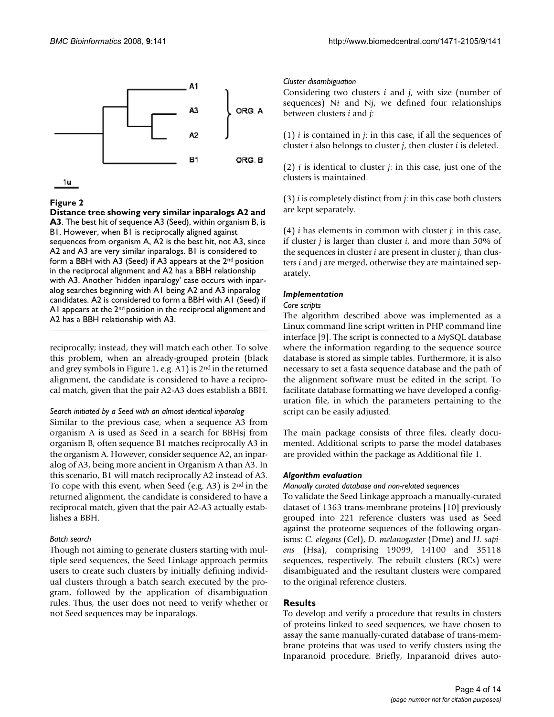

**Distance tree showing very similar inparalogs A2 and A3**. The best hit of sequence A3 (Seed), within organism B, is B1. However, when B1 is reciprocally aligned against sequences from organism A, A2 is the best hit, not A3, since A2 and A3 are very similar inparalogs. B1 is considered to form a BBH with A3 (Seed) if A3 appears at the 2nd position in the reciprocal alignment and A2 has a BBH relationship with A3. Another 'hidden inparalogy' case occurs with inparalog searches beginning with A1 being A2 and A3 inparalog candidates. A2 is considered to form a BBH with A1 (Seed) if A1 appears at the  $2<sup>nd</sup>$  position in the reciprocal alignment and A2 has a BBH relationship with A3.

reciprocally; instead, they will match each other. To solve this problem, when an already-grouped protein (black and grey symbols in Figure 1, e.g. A1) is 2nd in the returned alignment, the candidate is considered to have a reciprocal match, given that the pair A2-A3 does establish a BBH.

#### *Search initiated by a Seed with an almost identical inparalog*

Similar to the previous case, when a sequence A3 from organism A is used as Seed in a search for BBHsj from organism B, often sequence B1 matches reciprocally A3 in the organism A. However, consider sequence A2, an inparalog of A3, being more ancient in Organism A than A3. In this scenario, B1 will match reciprocally A2 instead of A3. To cope with this event, when Seed (e.g. A3) is 2nd in the returned alignment, the candidate is considered to have a reciprocal match, given that the pair A2-A3 actually establishes a BBH.

#### *Batch search*

Though not aiming to generate clusters starting with multiple seed sequences, the Seed Linkage approach permits users to create such clusters by initially defining individual clusters through a batch search executed by the program, followed by the application of disambiguation rules. Thus, the user does not need to verify whether or not Seed sequences may be inparalogs.

#### *Cluster disambiguation*

Considering two clusters *i* and *j*, with size (number of sequences) N*i* and N*j*, we defined four relationships between clusters *i* and *j*:

 $(1)$  *i* is contained in *j*: in this case, if all the sequences of cluster *i* also belongs to cluster *j*, then cluster *i* is deleted.

(2)  $i$  is identical to cluster  $j$ : in this case, just one of the clusters is maintained.

(3) *i* is completely distinct from *j*: in this case both clusters are kept separately.

(4) *i* has elements in common with cluster *j*: in this case, if cluster *j* is larger than cluster *i*, and more than 50% of the sequences in cluster *i* are present in cluster *j*, than clusters *i* and *j* are merged, otherwise they are maintained separately.

#### *Implementation*

#### *Core scripts*

The algorithm described above was implemented as a Linux command line script written in PHP command line interface [9]. The script is connected to a MySQL database where the information regarding to the sequence source database is stored as simple tables. Furthermore, it is also necessary to set a fasta sequence database and the path of the alignment software must be edited in the script. To facilitate database formatting we have developed a configuration file, in which the parameters pertaining to the script can be easily adjusted.

The main package consists of three files, clearly documented. Additional scripts to parse the model databases are provided within the package as Additional file 1.

#### *Algorithm evaluation*

#### *Manually curated database and non-related sequences*

To validate the Seed Linkage approach a manually-curated dataset of 1363 trans-membrane proteins [10] previously grouped into 221 reference clusters was used as Seed against the proteome sequences of the following organisms: *C. elegans* (Cel), *D. melanogaster* (Dme) and *H. sapiens* (Hsa), comprising 19099, 14100 and 35118 sequences, respectively. The rebuilt clusters (RCs) were disambiguated and the resultant clusters were compared to the original reference clusters.

# **Results**

To develop and verify a procedure that results in clusters of proteins linked to seed sequences, we have chosen to assay the same manually-curated database of trans-membrane proteins that was used to verify clusters using the Inparanoid procedure. Briefly, Inparanoid drives auto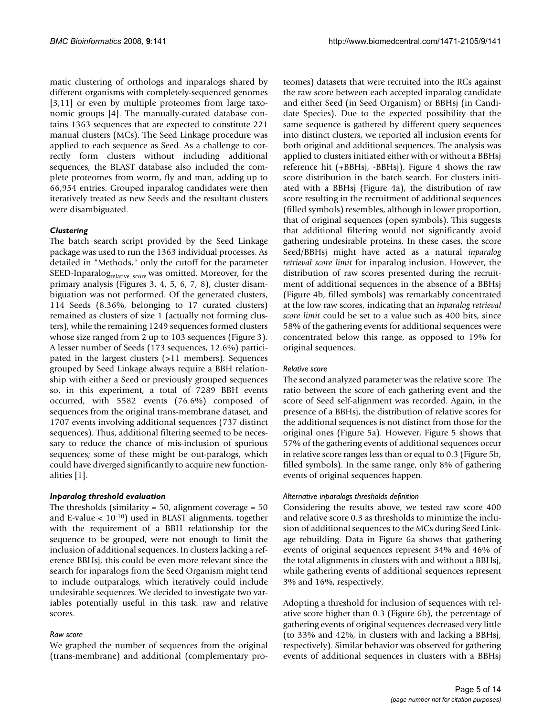matic clustering of orthologs and inparalogs shared by different organisms with completely-sequenced genomes [3,11] or even by multiple proteomes from large taxonomic groups [4]. The manually-curated database contains 1363 sequences that are expected to constitute 221 manual clusters (MCs). The Seed Linkage procedure was applied to each sequence as Seed. As a challenge to correctly form clusters without including additional sequences, the BLAST database also included the complete proteomes from worm, fly and man, adding up to 66,954 entries. Grouped inparalog candidates were then iteratively treated as new Seeds and the resultant clusters were disambiguated.

# *Clustering*

The batch search script provided by the Seed Linkage package was used to run the 1363 individual processes. As detailed in "Methods," only the cutoff for the parameter SEED-Inparalog<sub>relative</sub> score was omitted. Moreover, for the primary analysis (Figures 3, 4, 5, 6, 7, 8), cluster disambiguation was not performed. Of the generated clusters, 114 Seeds (8.36%, belonging to 17 curated clusters) remained as clusters of size 1 (actually not forming clusters), while the remaining 1249 sequences formed clusters whose size ranged from 2 up to 103 sequences (Figure 3). A lesser number of Seeds (173 sequences, 12.6%) participated in the largest clusters (>11 members). Sequences grouped by Seed Linkage always require a BBH relationship with either a Seed or previously grouped sequences so, in this experiment, a total of 7289 BBH events occurred, with 5582 events (76.6%) composed of sequences from the original trans-membrane dataset, and 1707 events involving additional sequences (737 distinct sequences). Thus, additional filtering seemed to be necessary to reduce the chance of mis-inclusion of spurious sequences; some of these might be out-paralogs, which could have diverged significantly to acquire new functionalities [1].

# *Inparalog threshold evaluation*

The thresholds (similarity = 50, alignment coverage = 50 and E-value  $< 10^{-10}$ ) used in BLAST alignments, together with the requirement of a BBH relationship for the sequence to be grouped, were not enough to limit the inclusion of additional sequences. In clusters lacking a reference BBHsj, this could be even more relevant since the search for inparalogs from the Seed Organism might tend to include outparalogs, which iteratively could include undesirable sequences. We decided to investigate two variables potentially useful in this task: raw and relative scores.

# *Raw score*

We graphed the number of sequences from the original (trans-membrane) and additional (complementary proteomes) datasets that were recruited into the RCs against the raw score between each accepted inparalog candidate and either Seed (in Seed Organism) or BBHsj (in Candidate Species). Due to the expected possibility that the same sequence is gathered by different query sequences into distinct clusters, we reported all inclusion events for both original and additional sequences. The analysis was applied to clusters initiated either with or without a BBHsj reference hit (+BBHsj, -BBHsj). Figure 4 shows the raw score distribution in the batch search. For clusters initiated with a BBHsj (Figure 4a), the distribution of raw score resulting in the recruitment of additional sequences (filled symbols) resembles, although in lower proportion, that of original sequences (open symbols). This suggests that additional filtering would not significantly avoid gathering undesirable proteins. In these cases, the score Seed/BBHsj might have acted as a natural *inparalog retrieval score limit* for inparalog inclusion. However, the distribution of raw scores presented during the recruitment of additional sequences in the absence of a BBHsj (Figure 4b, filled symbols) was remarkably concentrated at the low raw scores, indicating that an *inparalog retrieval score limit* could be set to a value such as 400 bits, since 58% of the gathering events for additional sequences were concentrated below this range, as opposed to 19% for original sequences.

# *Relative score*

The second analyzed parameter was the relative score. The ratio between the score of each gathering event and the score of Seed self-alignment was recorded. Again, in the presence of a BBHsj, the distribution of relative scores for the additional sequences is not distinct from those for the original ones (Figure 5a). However, Figure 5 shows that 57% of the gathering events of additional sequences occur in relative score ranges less than or equal to 0.3 (Figure 5b, filled symbols). In the same range, only 8% of gathering events of original sequences happen.

# *Alternative inparalogs thresholds definition*

Considering the results above, we tested raw score 400 and relative score 0.3 as thresholds to minimize the inclusion of additional sequences to the MCs during Seed Linkage rebuilding. Data in Figure 6a shows that gathering events of original sequences represent 34% and 46% of the total alignments in clusters with and without a BBHsj, while gathering events of additional sequences represent 3% and 16%, respectively.

Adopting a threshold for inclusion of sequences with relative score higher than 0.3 (Figure 6b), the percentage of gathering events of original sequences decreased very little (to 33% and 42%, in clusters with and lacking a BBHsj, respectively). Similar behavior was observed for gathering events of additional sequences in clusters with a BBHsj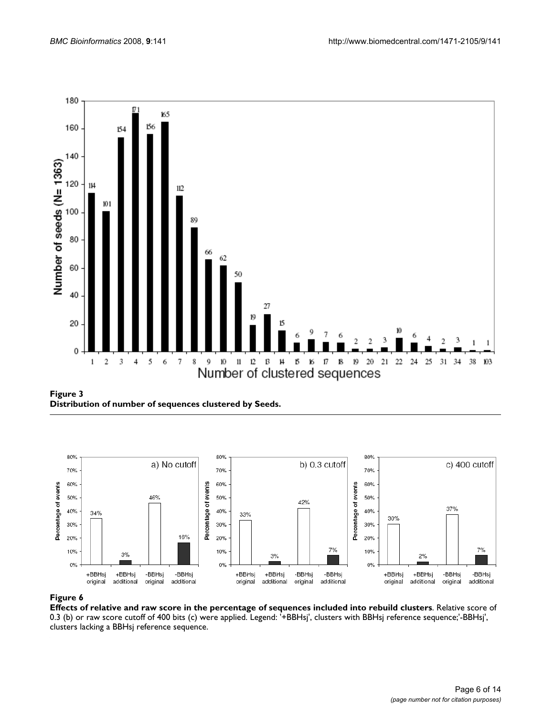

Figure 3 **Distribution of number of sequences clustered by Seeds.**



# Effects of relative and raw scor **Figure 6** e in the percentage of sequences included into rebuild clusters

**Effects of relative and raw score in the percentage of sequences included into rebuild clusters**. Relative score of 0.3 (b) or raw score cutoff of 400 bits (c) were applied. Legend: '+BBHsj', clusters with BBHsj reference sequence;'-BBHsj', clusters lacking a BBHsj reference sequence.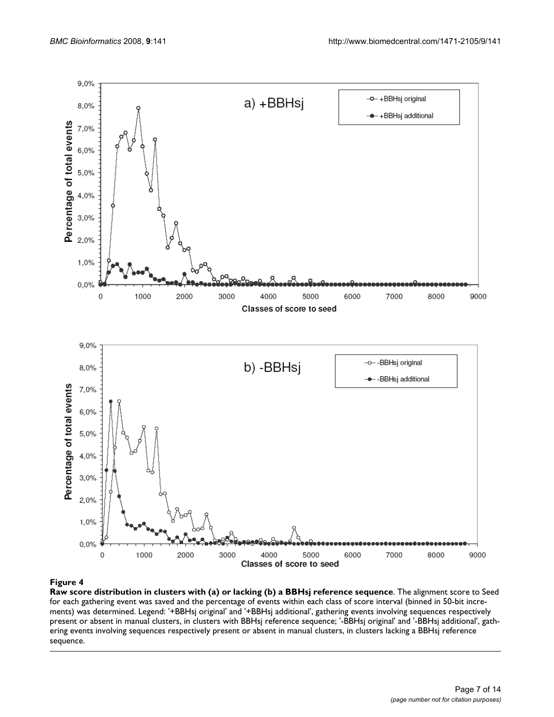

**Raw score distribution in clusters with (a) or lacking (b) a BBHsj reference sequence**. The alignment score to Seed for each gathering event was saved and the percentage of events within each class of score interval (binned in 50-bit increments) was determined. Legend: '+BBHsj original' and '+BBHsj additional', gathering events involving sequences respectively present or absent in manual clusters, in clusters with BBHsj reference sequence; '-BBHsj original' and '-BBHsj additional', gathering events involving sequences respectively present or absent in manual clusters, in clusters lacking a BBHsj reference sequence.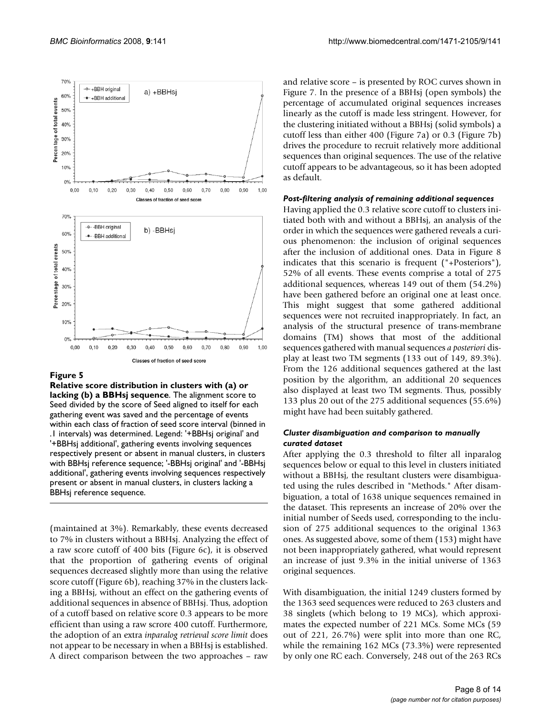

**Relative score distribution in clusters with (a) or lacking (b) a BBHsj sequence**. The alignment score to Seed divided by the score of Seed aligned to itself for each gathering event was saved and the percentage of events within each class of fraction of seed score interval (binned in .1 intervals) was determined. Legend: '+BBHsj original' and '+BBHsj additional', gathering events involving sequences respectively present or absent in manual clusters, in clusters with BBHsj reference sequence; '-BBHsj original' and '-BBHsj additional', gathering events involving sequences respectively present or absent in manual clusters, in clusters lacking a BBHsj reference sequence.

(maintained at 3%). Remarkably, these events decreased to 7% in clusters without a BBHsj. Analyzing the effect of a raw score cutoff of 400 bits (Figure 6c), it is observed that the proportion of gathering events of original sequences decreased slightly more than using the relative score cutoff (Figure 6b), reaching 37% in the clusters lacking a BBHsj, without an effect on the gathering events of additional sequences in absence of BBHsj. Thus, adoption of a cutoff based on relative score 0.3 appears to be more efficient than using a raw scrore 400 cutoff. Furthermore, the adoption of an extra *inparalog retrieval score limit* does not appear to be necessary in when a BBHsj is established. A direct comparison between the two approaches – raw

and relative score – is presented by ROC curves shown in Figure 7. In the presence of a BBHsj (open symbols) the percentage of accumulated original sequences increases linearly as the cutoff is made less stringent. However, for the clustering initiated without a BBHsj (solid symbols) a cutoff less than either 400 (Figure 7a) or 0.3 (Figure 7b) drives the procedure to recruit relatively more additional sequences than original sequences. The use of the relative cutoff appears to be advantageous, so it has been adopted as default.

#### *Post-filtering analysis of remaining additional sequences*

Having applied the 0.3 relative score cutoff to clusters initiated both with and without a BBHsj, an analysis of the order in which the sequences were gathered reveals a curious phenomenon: the inclusion of original sequences after the inclusion of additional ones. Data in Figure 8 indicates that this scenario is frequent ("+Posteriors"), 52% of all events. These events comprise a total of 275 additional sequences, whereas 149 out of them (54.2%) have been gathered before an original one at least once. This might suggest that some gathered additional sequences were not recruited inappropriately. In fact, an analysis of the structural presence of trans-membrane domains (TM) shows that most of the additional sequences gathered with manual sequences *a posteriori* display at least two TM segments (133 out of 149, 89.3%). From the 126 additional sequences gathered at the last position by the algorithm, an additional 20 sequences also displayed at least two TM segments. Thus, possibly 133 plus 20 out of the 275 additional sequences (55.6%) might have had been suitably gathered.

#### *Cluster disambiguation and comparison to manually curated dataset*

After applying the 0.3 threshold to filter all inparalog sequences below or equal to this level in clusters initiated without a BBHsj, the resultant clusters were disambiguated using the rules described in "Methods." After disambiguation, a total of 1638 unique sequences remained in the dataset. This represents an increase of 20% over the initial number of Seeds used, corresponding to the inclusion of 275 additional sequences to the original 1363 ones. As suggested above, some of them (153) might have not been inappropriately gathered, what would represent an increase of just 9.3% in the initial universe of 1363 original sequences.

With disambiguation, the initial 1249 clusters formed by the 1363 seed sequences were reduced to 263 clusters and 38 singlets (which belong to 19 MCs), which approximates the expected number of 221 MCs. Some MCs (59 out of 221, 26.7%) were split into more than one RC, while the remaining 162 MCs (73.3%) were represented by only one RC each. Conversely, 248 out of the 263 RCs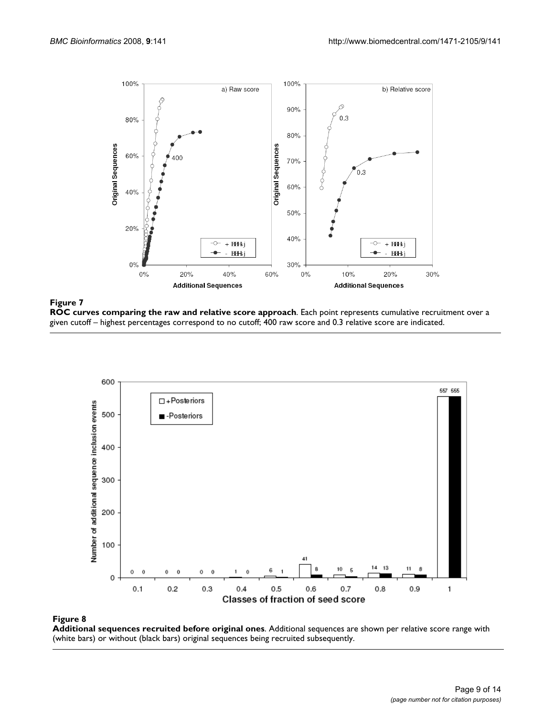

**ROC curves comparing the raw and relative score approach**. Each point represents cumulative recruitment over a given cutoff – highest percentages correspond to no cutoff; 400 raw score and 0.3 relative score are indicated.



### Figure 8

**Additional sequences recruited before original ones**. Additional sequences are shown per relative score range with (white bars) or without (black bars) original sequences being recruited subsequently.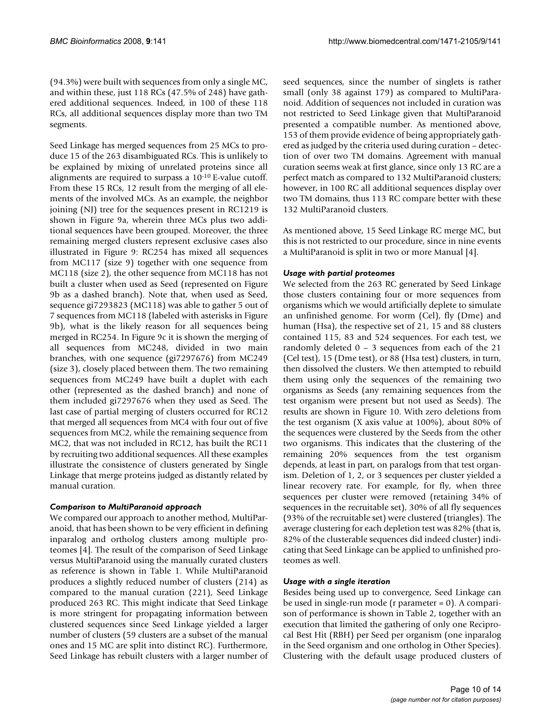(94.3%) were built with sequences from only a single MC, and within these, just 118 RCs (47.5% of 248) have gathered additional sequences. Indeed, in 100 of these 118 RCs, all additional sequences display more than two TM segments.

Seed Linkage has merged sequences from 25 MCs to produce 15 of the 263 disambiguated RCs. This is unlikely to be explained by mixing of unrelated proteins since all alignments are required to surpass a 10-10 E-value cutoff. From these 15 RCs, 12 result from the merging of all elements of the involved MCs. As an example, the neighbor joining (NJ) tree for the sequences present in RC1219 is shown in Figure 9a, wherein three MCs plus two additional sequences have been grouped. Moreover, the three remaining merged clusters represent exclusive cases also illustrated in Figure 9: RC254 has mixed all sequences from MC117 (size 9) together with one sequence from MC118 (size 2), the other sequence from MC118 has not built a cluster when used as Seed (represented on Figure 9b as a dashed branch). Note that, when used as Seed, sequence gi7293823 (MC118) was able to gather 5 out of 7 sequences from MC118 (labeled with asterisks in Figure 9b), what is the likely reason for all sequences being merged in RC254. In Figure 9c it is shown the merging of all sequences from MC248, divided in two main branches, with one sequence (gi7297676) from MC249 (size 3), closely placed between them. The two remaining sequences from MC249 have built a duplet with each other (represented as the dashed branch) and none of them included gi7297676 when they used as Seed. The last case of partial merging of clusters occurred for RC12 that merged all sequences from MC4 with four out of five sequences from MC2, while the remaining sequence from MC2, that was not included in RC12, has built the RC11 by recruiting two additional sequences. All these examples illustrate the consistence of clusters generated by Single Linkage that merge proteins judged as distantly related by manual curation.

# *Comparison to MultiParanoid approach*

We compared our approach to another method, MultiParanoid, that has been shown to be very efficient in defining inparalog and ortholog clusters among multiple proteomes [4]. The result of the comparison of Seed Linkage versus MultiParanoid using the manually curated clusters as reference is shown in Table 1. While MultiParanoid produces a slightly reduced number of clusters (214) as compared to the manual curation (221), Seed Linkage produced 263 RC. This might indicate that Seed Linkage is more stringent for propagating information between clustered sequences since Seed Linkage yielded a larger number of clusters (59 clusters are a subset of the manual ones and 15 MC are split into distinct RC). Furthermore, Seed Linkage has rebuilt clusters with a larger number of seed sequences, since the number of singlets is rather small (only 38 against 179) as compared to MultiParanoid. Addition of sequences not included in curation was not restricted to Seed Linkage given that MultiParanoid presented a compatible number. As mentioned above, 153 of them provide evidence of being appropriately gathered as judged by the criteria used during curation – detection of over two TM domains. Agreement with manual curation seems weak at first glance, since only 13 RC are a perfect match as compared to 132 MultiParanoid clusters; however, in 100 RC all additional sequences display over two TM domains, thus 113 RC compare better with these 132 MultiParanoid clusters.

As mentioned above, 15 Seed Linkage RC merge MC, but this is not restricted to our procedure, since in nine events a MultiParanoid is split in two or more Manual [4].

# *Usage with partial proteomes*

We selected from the 263 RC generated by Seed Linkage those clusters containing four or more sequences from organisms which we would artificially deplete to simulate an unfinished genome. For worm (Cel), fly (Dme) and human (Hsa), the respective set of 21, 15 and 88 clusters contained 115, 83 and 524 sequences. For each test, we randomly deleted 0 – 3 sequences from each of the 21 (Cel test), 15 (Dme test), or 88 (Hsa test) clusters, in turn, then dissolved the clusters. We then attempted to rebuild them using only the sequences of the remaining two organisms as Seeds (any remaining sequences from the test organism were present but not used as Seeds). The results are shown in Figure 10. With zero deletions from the test organism (X axis value at 100%), about 80% of the sequences were clustered by the Seeds from the other two organisms. This indicates that the clustering of the remaining 20% sequences from the test organism depends, at least in part, on paralogs from that test organism. Deletion of 1, 2, or 3 sequences per cluster yielded a linear recovery rate. For example, for fly, when three sequences per cluster were removed (retaining 34% of sequences in the recruitable set), 30% of all fly sequences (93% of the recruitable set) were clustered (triangles). The average clustering for each depletion test was 82% (that is, 82% of the clusterable sequences did indeed cluster) indicating that Seed Linkage can be applied to unfinished proteomes as well.

# *Usage with a single iteration*

Besides being used up to convergence, Seed Linkage can be used in single-run mode ( $r$  parameter = 0). A comparison of performance is shown in Table 2, together with an execution that limited the gathering of only one Reciprocal Best Hit (RBH) per Seed per organism (one inparalog in the Seed organism and one ortholog in Other Species). Clustering with the default usage produced clusters of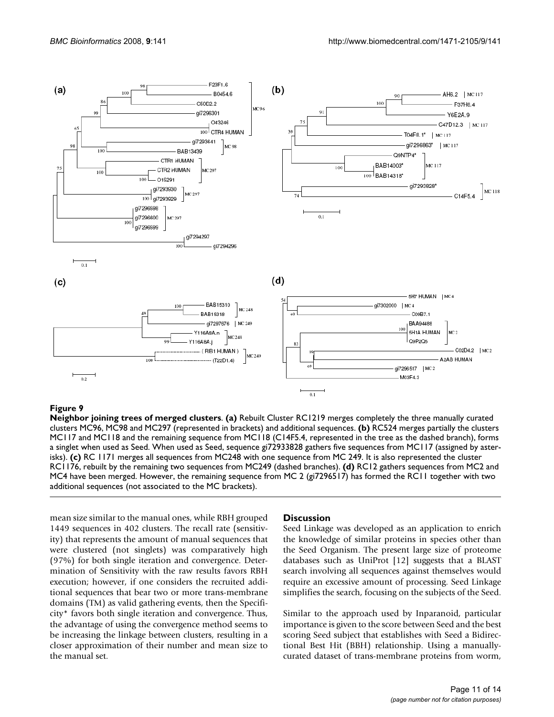

**Neighbor joining trees of merged clusters**. **(a)** Rebuilt Cluster RC1219 merges completely the three manually curated clusters MC96, MC98 and MC297 (represented in brackets) and additional sequences. **(b)** RC524 merges partially the clusters MC117 and MC118 and the remaining sequence from MC118 (C14F5.4, represented in the tree as the dashed branch), forms a singlet when used as Seed. When used as Seed, sequence gi72933828 gathers five sequences from MC117 (assigned by asterisks). **(c)** RC 1171 merges all sequences from MC248 with one sequence from MC 249. It is also represented the cluster RC1176, rebuilt by the remaining two sequences from MC249 (dashed branches). **(d)** RC12 gathers sequences from MC2 and MC4 have been merged. However, the remaining sequence from MC 2 (gi7296517) has formed the RC11 together with two additional sequences (not associated to the MC brackets).

mean size similar to the manual ones, while RBH grouped 1449 sequences in 402 clusters. The recall rate (sensitivity) that represents the amount of manual sequences that were clustered (not singlets) was comparatively high (97%) for both single iteration and convergence. Determination of Sensitivity with the raw results favors RBH execution; however, if one considers the recruited additional sequences that bear two or more trans-membrane domains (TM) as valid gathering events, then the Specificity\* favors both single iteration and convergence. Thus, the advantage of using the convergence method seems to be increasing the linkage between clusters, resulting in a closer approximation of their number and mean size to the manual set.

#### **Discussion**

Seed Linkage was developed as an application to enrich the knowledge of similar proteins in species other than the Seed Organism. The present large size of proteome databases such as UniProt [12] suggests that a BLAST search involving all sequences against themselves would require an excessive amount of processing. Seed Linkage simplifies the search, focusing on the subjects of the Seed.

Similar to the approach used by Inparanoid, particular importance is given to the score between Seed and the best scoring Seed subject that establishes with Seed a Bidirectional Best Hit (BBH) relationship. Using a manuallycurated dataset of trans-membrane proteins from worm,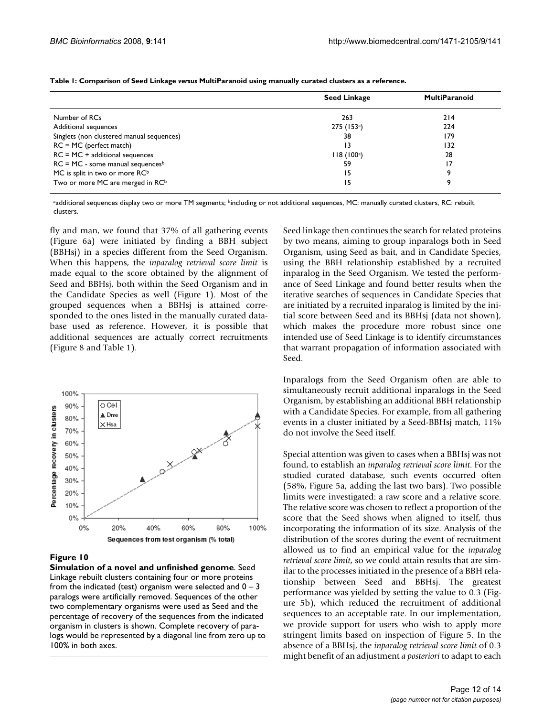|                                                | <b>Seed Linkage</b>     | <b>MultiParanoid</b> |
|------------------------------------------------|-------------------------|----------------------|
| Number of RCs                                  | 263                     | 214                  |
| Additional sequences                           | 275 (153 <sup>a</sup> ) | 224                  |
| Singlets (non clustered manual sequences)      | 38                      | 179                  |
| $RC = MC$ (perfect match)                      | 13                      | 132                  |
| $RC = MC + additional sequences$               | 118(100a)               | 28                   |
| $RC = MC$ - some manual sequences <sup>b</sup> | 59                      | 17                   |
| MC is split in two or more RC <sup>b</sup>     | 15                      | 9                    |
| Two or more MC are merged in RC <sup>b</sup>   | 15                      | q                    |
|                                                |                         |                      |

**Table 1: Comparison of Seed Linkage** *versus* **MultiParanoid using manually curated clusters as a reference.**

additional sequences display two or more TM segments; bincluding or not additional sequences, MC: manually curated clusters, RC: rebuilt clusters.

fly and man, we found that 37% of all gathering events (Figure 6a) were initiated by finding a BBH subject (BBHsj) in a species different from the Seed Organism. When this happens, the *inparalog retrieval score limit* is made equal to the score obtained by the alignment of Seed and BBHsj, both within the Seed Organism and in the Candidate Species as well (Figure 1). Most of the grouped sequences when a BBHsj is attained corresponded to the ones listed in the manually curated database used as reference. However, it is possible that additional sequences are actually correct recruitments (Figure 8 and Table 1).



#### **Figure 10**

**Simulation of a novel and unfinished genome**. Seed Linkage rebuilt clusters containing four or more proteins from the indicated (test) organism were selected and  $0 - 3$ paralogs were artificially removed. Sequences of the other two complementary organisms were used as Seed and the percentage of recovery of the sequences from the indicated organism in clusters is shown. Complete recovery of paralogs would be represented by a diagonal line from zero up to 100% in both axes.

Seed linkage then continues the search for related proteins by two means, aiming to group inparalogs both in Seed Organism, using Seed as bait, and in Candidate Species, using the BBH relationship established by a recruited inparalog in the Seed Organism. We tested the performance of Seed Linkage and found better results when the iterative searches of sequences in Candidate Species that are initiated by a recruited inparalog is limited by the initial score between Seed and its BBHsj (data not shown), which makes the procedure more robust since one intended use of Seed Linkage is to identify circumstances that warrant propagation of information associated with Seed.

Inparalogs from the Seed Organism often are able to simultaneously recruit additional inparalogs in the Seed Organism, by establishing an additional BBH relationship with a Candidate Species. For example, from all gathering events in a cluster initiated by a Seed-BBHsj match, 11% do not involve the Seed itself.

Special attention was given to cases when a BBHsj was not found, to establish an *inparalog retrieval score limit*. For the studied curated database, such events occurred often (58%, Figure 5a, adding the last two bars). Two possible limits were investigated: a raw score and a relative score. The relative score was chosen to reflect a proportion of the score that the Seed shows when aligned to itself, thus incorporating the information of its size. Analysis of the distribution of the scores during the event of recruitment allowed us to find an empirical value for the *inparalog retrieval score limit*, so we could attain results that are similar to the processes initiated in the presence of a BBH relationship between Seed and BBHsj. The greatest performance was yielded by setting the value to 0.3 (Figure 5b), which reduced the recruitment of additional sequences to an acceptable rate. In our implementation, we provide support for users who wish to apply more stringent limits based on inspection of Figure 5. In the absence of a BBHsj, the *inparalog retrieval score limit* of 0.3 might benefit of an adjustment *a posteriori* to adapt to each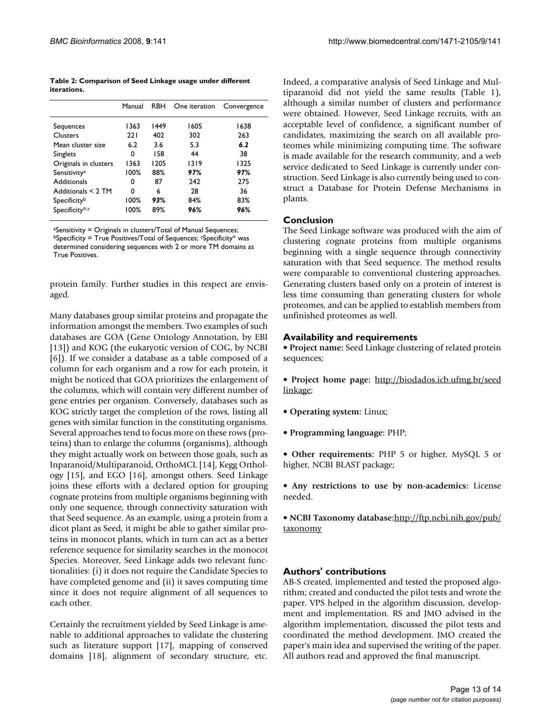**Table 2: Comparison of Seed Linkage usage under different iterations.**

|                          | Manual  | RBH  | One iteration | Convergence |
|--------------------------|---------|------|---------------|-------------|
| Sequences                | 1363    | 1449 | 1605          | 1638        |
| Clusters                 | 22 I    | 402  | 302           | 263         |
| Mean cluster size        | 6.2     | 3.6  | 5.3           | 6.2         |
| Singlets                 | 0       | 158  | 44            | 38          |
| Originals in clusters    | 1363    | 1205 | 1319          | 1325        |
| Sensitivity <sup>a</sup> | 100%    | 88%  | 97%           | 97%         |
| Additionals              | 0       | 87   | 242           | 275         |
| Additionals $<$ 2 TM     | 0       | 6    | 28            | 36          |
| Specificityb             | $100\%$ | 93%  | 84%           | 83%         |
| Specificity*,c           | 100%    | 89%  | 96%           | 96%         |

aSensitivity = Originals in clusters/Total of Manual Sequences;  $b$ Specificity\* was b specificity\* was determined considering sequences with 2 or more TM domains as True Positives.

protein family. Further studies in this respect are envisaged.

Many databases group similar proteins and propagate the information amongst the members. Two examples of such databases are GOA (Gene Ontology Annotation, by EBI [13]) and KOG (the eukaryotic version of COG, by NCBI [6]). If we consider a database as a table composed of a column for each organism and a row for each protein, it might be noticed that GOA prioritizes the enlargement of the columns, which will contain very different number of gene entries per organism. Conversely, databases such as KOG strictly target the completion of the rows, listing all genes with similar function in the constituting organisms. Several approaches tend to focus more on these rows (proteins) than to enlarge the columns (organisms), although they might actually work on between those goals, such as Inparanoid/Multiparanoid, OrthoMCL [14], Kegg Orthology [15], and EGO [16], amongst others. Seed Linkage joins these efforts with a declared option for grouping cognate proteins from multiple organisms beginning with only one sequence, through connectivity saturation with that Seed sequence. As an example, using a protein from a dicot plant as Seed, it might be able to gather similar proteins in monocot plants, which in turn can act as a better reference sequence for similarity searches in the monocot Species. Moreover, Seed Linkage adds two relevant functionalities: (i) it does not require the Candidate Species to have completed genome and (ii) it saves computing time since it does not require alignment of all sequences to each other.

Certainly the recruitment yielded by Seed Linkage is amenable to additional approaches to validate the clustering such as literature support [17], mapping of conserved domains [18], alignment of secondary structure, etc.

Indeed, a comparative analysis of Seed Linkage and Multiparanoid did not yield the same results (Table 1), although a similar number of clusters and performance were obtained. However, Seed Linkage recruits, with an acceptable level of confidence, a significant number of candidates, maximizing the search on all available proteomes while minimizing computing time. The software is made available for the research community, and a web service dedicated to Seed Linkage is currently under construction. Seed Linkage is also currently being used to construct a Database for Protein Defense Mechanisms in plants.

### **Conclusion**

The Seed Linkage software was produced with the aim of clustering cognate proteins from multiple organisms beginning with a single sequence through connectivity saturation with that Seed sequence. The method results were comparable to conventional clustering approaches. Generating clusters based only on a protein of interest is less time consuming than generating clusters for whole proteomes, and can be applied to establish members from unfinished proteomes as well.

### **Availability and requirements**

• **Project name:** Seed Linkage clustering of related protein sequences;

• **Project home page:** [http://biodados.icb.ufmg.br/seed](http://biodados.icb.ufmg.br/seedlinkage) [linkage;](http://biodados.icb.ufmg.br/seedlinkage)

- **Operating system:** Linux;
- **Programming language:** PHP;

• **Other requirements:** PHP 5 or higher, MySQL 5 or higher, NCBI BLAST package;

• **Any restrictions to use by non-academics:** License needed.

• **NCBI Taxonomy database:**[http://ftp.ncbi.nih.gov/pub/](http://ftp.ncbi.nih.gov/pub/taxonomy) [taxonomy](http://ftp.ncbi.nih.gov/pub/taxonomy)

# **Authors' contributions**

AB-S created, implemented and tested the proposed algorithm; created and conducted the pilot tests and wrote the paper. VPS helped in the algorithm discussion, development and implementation. RS and JMO advised in the algorithm implementation, discussed the pilot tests and coordinated the method development. JMO created the paper's main idea and supervised the writing of the paper. All authors read and approved the final manuscript.